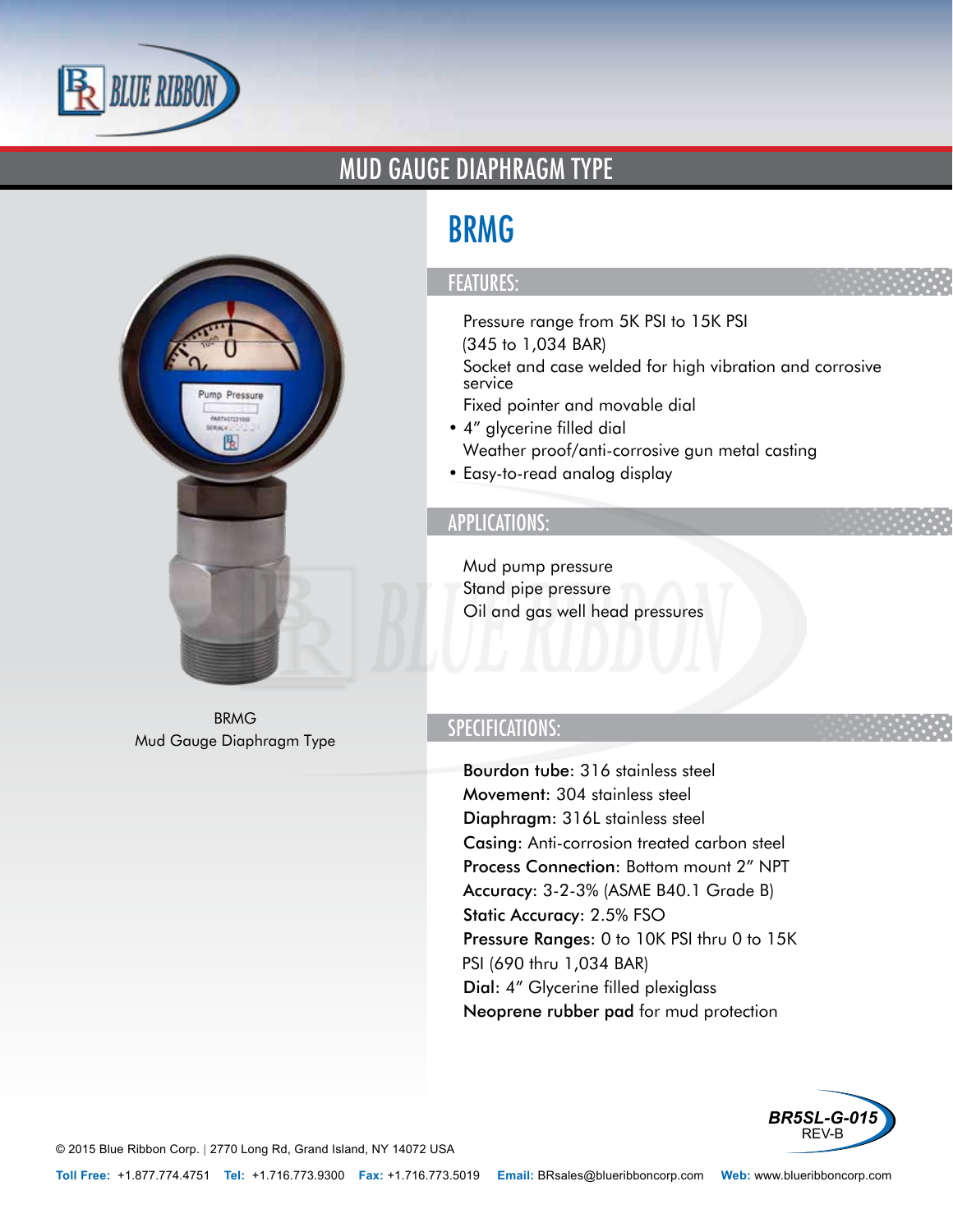

### MUD GAUGE DIAPHRAGM TYPE



BRMG Mud Gauge Diaphragm Type

# BRMG

#### FEATURES:

- Pressure range from 5K PSI to 15K PSI (345 to 1,034 BAR)
- Socket and case welded for high vibration and corrosive service
- Fixed pointer and movable dial
- 4" glycerine filled dial
- Weather proof/anti-corrosive gun metal casting
- Easy-to-read analog display

#### APPLICATIONS:

- Mud pump pressure
- Stand pipe pressure
- Oil and gas well head pressures

### SPECIFICATIONS:

- Bourdon tube: 316 stainless steel
- Movement: 304 stainless steel
- Diaphragm: 316L stainless steel
- Casing: Anti-corrosion treated carbon steel
- Process Connection: Bottom mount 2" NPT
- Accuracy: 3-2-3% (ASME B40.1 Grade B)
- Static Accuracy: 2.5% FSO
- Pressure Ranges: 0 to 10K PSI thru 0 to 15K PSI (690 thru 1,034 BAR)
- Dial: 4" Glycerine filled plexiglass
- Neoprene rubber pad for mud protection



© 2015 Blue Ribbon Corp. *<sup>|</sup>* 2770 Long Rd, Grand Island, NY 14072 USA